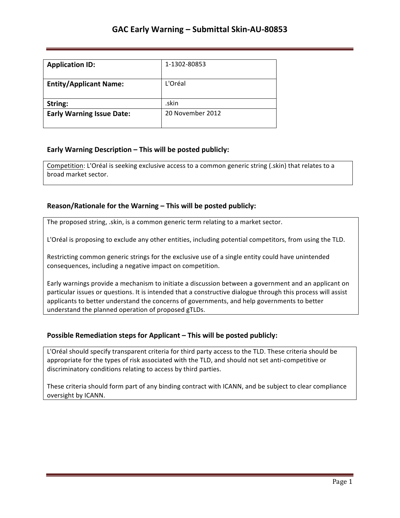| <b>Application ID:</b>           | 1-1302-80853     |
|----------------------------------|------------------|
| <b>Entity/Applicant Name:</b>    | L'Oréal          |
| String:                          | .skin            |
| <b>Early Warning Issue Date:</b> | 20 November 2012 |

### **Early Warning Description – This will be posted publicly:**

Competition: L'Oréal is seeking exclusive access to a common generic string (.skin) that relates to a broad market sector.

### **Reason/Rationale for the Warning – This will be posted publicly:**

The proposed string, .skin, is a common generic term relating to a market sector.

L'Oréal is proposing to exclude any other entities, including potential competitors, from using the TLD.

Restricting common generic strings for the exclusive use of a single entity could have unintended consequences, including a negative impact on competition.

Early warnings provide a mechanism to initiate a discussion between a government and an applicant on particular issues or questions. It is intended that a constructive dialogue through this process will assist applicants to better understand the concerns of governments, and help governments to better understand the planned operation of proposed gTLDs.

### **Possible Remediation steps for Applicant – This will be posted publicly:**

L'Oréal should specify transparent criteria for third party access to the TLD. These criteria should be appropriate for the types of risk associated with the TLD, and should not set anti-competitive or discriminatory conditions relating to access by third parties.

These criteria should form part of any binding contract with ICANN, and be subject to clear compliance oversight by ICANN.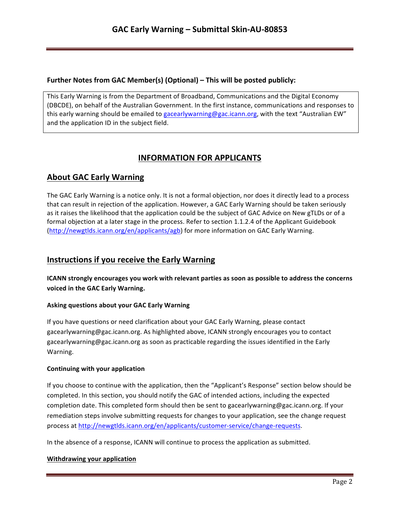### **Further Notes from GAC Member(s) (Optional) – This will be posted publicly:**

This Early Warning is from the Department of Broadband, Communications and the Digital Economy (DBCDE), on behalf of the Australian Government. In the first instance, communications and responses to this early warning should be emailed to gacearlywarning@gac.icann.org, with the text "Australian EW" and the application ID in the subject field.

# **INFORMATION FOR APPLICANTS**

## **About GAC Early Warning**

The GAC Early Warning is a notice only. It is not a formal objection, nor does it directly lead to a process that can result in rejection of the application. However, a GAC Early Warning should be taken seriously as it raises the likelihood that the application could be the subject of GAC Advice on New gTLDs or of a formal objection at a later stage in the process. Refer to section 1.1.2.4 of the Applicant Guidebook (http://newgtlds.icann.org/en/applicants/agb) for more information on GAC Early Warning.

## **Instructions if you receive the Early Warning**

**ICANN** strongly encourages you work with relevant parties as soon as possible to address the concerns voiced in the GAC Early Warning.

### **Asking questions about your GAC Early Warning**

If you have questions or need clarification about your GAC Early Warning, please contact gacearlywarning@gac.icann.org. As highlighted above, ICANN strongly encourages you to contact gacearlywarning@gac.icann.org as soon as practicable regarding the issues identified in the Early Warning. 

### **Continuing with your application**

If you choose to continue with the application, then the "Applicant's Response" section below should be completed. In this section, you should notify the GAC of intended actions, including the expected completion date. This completed form should then be sent to gacearlywarning@gac.icann.org. If your remediation steps involve submitting requests for changes to your application, see the change request process at http://newgtlds.icann.org/en/applicants/customer-service/change-requests.

In the absence of a response, ICANN will continue to process the application as submitted.

### **Withdrawing your application**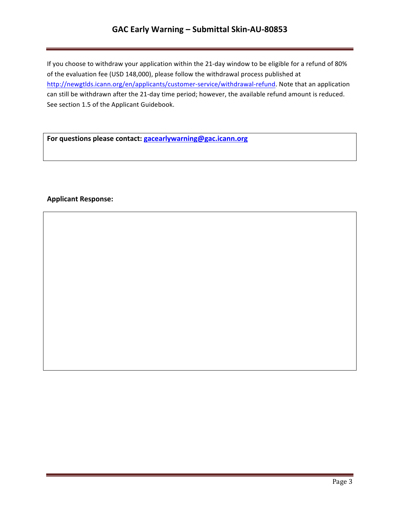# **GAC Early Warning – Submittal Skin-AU-80853**

If you choose to withdraw your application within the 21-day window to be eligible for a refund of 80% of the evaluation fee (USD 148,000), please follow the withdrawal process published at http://newgtlds.icann.org/en/applicants/customer-service/withdrawal-refund. Note that an application can still be withdrawn after the 21-day time period; however, the available refund amount is reduced. See section 1.5 of the Applicant Guidebook.

For questions please contact: **gacearlywarning@gac.icann.org** 

### **Applicant Response:**